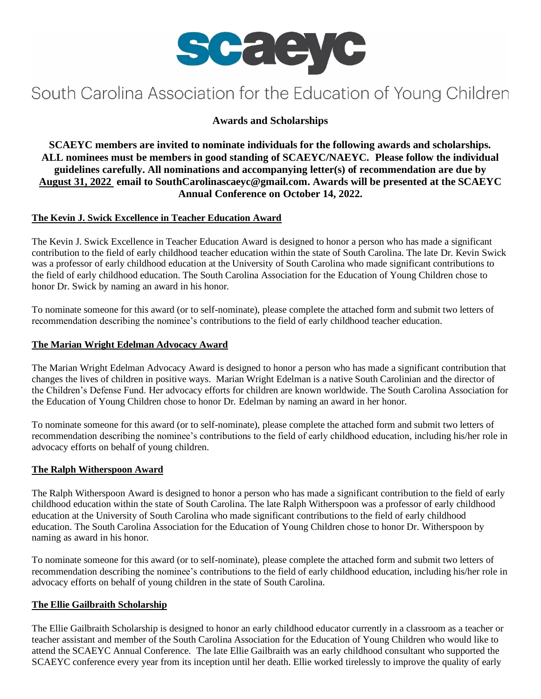

# South Carolina Association for the Education of Young Children

# **Awards and Scholarships**

**SCAEYC members are invited to nominate individuals for the following awards and scholarships. ALL nominees must be members in good standing of SCAEYC/NAEYC. Please follow the individual guidelines carefully. All nominations and accompanying letter(s) of recommendation are due by August 31, 2022 email to SouthCarolinascaeyc@gmail.com. Awards will be presented at the SCAEYC Annual Conference on October 14, 2022.**

## **The Kevin J. Swick Excellence in Teacher Education Award**

The Kevin J. Swick Excellence in Teacher Education Award is designed to honor a person who has made a significant contribution to the field of early childhood teacher education within the state of South Carolina. The late Dr. Kevin Swick was a professor of early childhood education at the University of South Carolina who made significant contributions to the field of early childhood education. The South Carolina Association for the Education of Young Children chose to honor Dr. Swick by naming an award in his honor.

To nominate someone for this award (or to self-nominate), please complete the attached form and submit two letters of recommendation describing the nominee's contributions to the field of early childhood teacher education.

#### **The Marian Wright Edelman Advocacy Award**

The Marian Wright Edelman Advocacy Award is designed to honor a person who has made a significant contribution that changes the lives of children in positive ways. Marian Wright Edelman is a native South Carolinian and the director of the Children's Defense Fund. Her advocacy efforts for children are known worldwide. The South Carolina Association for the Education of Young Children chose to honor Dr. Edelman by naming an award in her honor.

To nominate someone for this award (or to self-nominate), please complete the attached form and submit two letters of recommendation describing the nominee's contributions to the field of early childhood education, including his/her role in advocacy efforts on behalf of young children.

## **The Ralph Witherspoon Award**

The Ralph Witherspoon Award is designed to honor a person who has made a significant contribution to the field of early childhood education within the state of South Carolina. The late Ralph Witherspoon was a professor of early childhood education at the University of South Carolina who made significant contributions to the field of early childhood education. The South Carolina Association for the Education of Young Children chose to honor Dr. Witherspoon by naming as award in his honor.

To nominate someone for this award (or to self-nominate), please complete the attached form and submit two letters of recommendation describing the nominee's contributions to the field of early childhood education, including his/her role in advocacy efforts on behalf of young children in the state of South Carolina.

#### **The Ellie Gailbraith Scholarship**

The Ellie Gailbraith Scholarship is designed to honor an early childhood educator currently in a classroom as a teacher or teacher assistant and member of the South Carolina Association for the Education of Young Children who would like to attend the SCAEYC Annual Conference. The late Ellie Gailbraith was an early childhood consultant who supported the SCAEYC conference every year from its inception until her death. Ellie worked tirelessly to improve the quality of early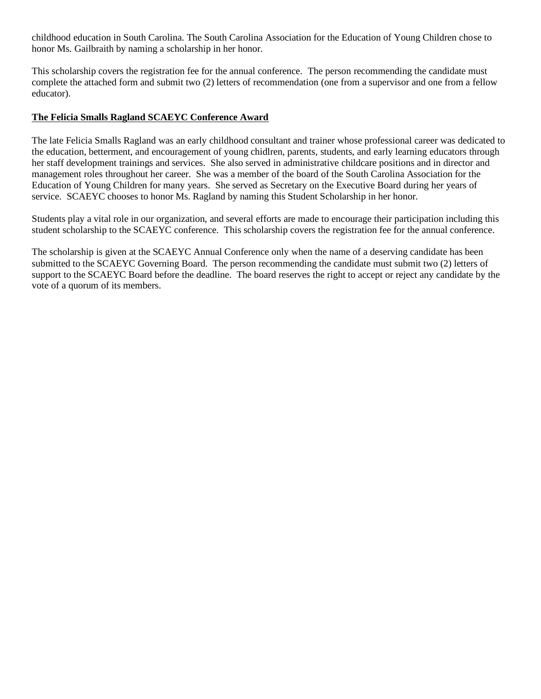childhood education in South Carolina. The South Carolina Association for the Education of Young Children chose to honor Ms. Gailbraith by naming a scholarship in her honor.

This scholarship covers the registration fee for the annual conference. The person recommending the candidate must complete the attached form and submit two (2) letters of recommendation (one from a supervisor and one from a fellow educator).

#### **The Felicia Smalls Ragland SCAEYC Conference Award**

The late Felicia Smalls Ragland was an early childhood consultant and trainer whose professional career was dedicated to the education, betterment, and encouragement of young chidlren, parents, students, and early learning educators through her staff development trainings and services. She also served in administrative childcare positions and in director and management roles throughout her career. She was a member of the board of the South Carolina Association for the Education of Young Children for many years. She served as Secretary on the Executive Board during her years of service. SCAEYC chooses to honor Ms. Ragland by naming this Student Scholarship in her honor.

Students play a vital role in our organization, and several efforts are made to encourage their participation including this student scholarship to the SCAEYC conference. This scholarship covers the registration fee for the annual conference.

The scholarship is given at the SCAEYC Annual Conference only when the name of a deserving candidate has been submitted to the SCAEYC Governing Board. The person recommending the candidate must submit two (2) letters of support to the SCAEYC Board before the deadline. The board reserves the right to accept or reject any candidate by the vote of a quorum of its members.